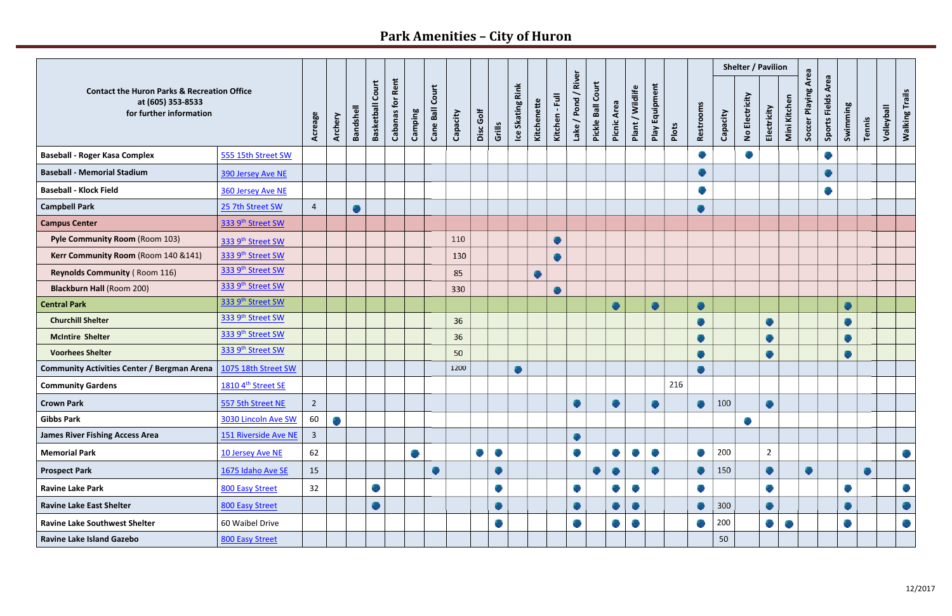## **Park Amenities – City of Huron**

| <b>Contact the Huron Parks &amp; Recreation Office</b><br>at (605) 353-8533<br>for further information |                      |                |         |                  |                            |                            |         |                    |          |           |        |                     |             |                |                           |                   |             |                  |                             |       |                   |          |                  | Shelter / Pavilion |              |                            |                       |           |        |            |                       |
|--------------------------------------------------------------------------------------------------------|----------------------|----------------|---------|------------------|----------------------------|----------------------------|---------|--------------------|----------|-----------|--------|---------------------|-------------|----------------|---------------------------|-------------------|-------------|------------------|-----------------------------|-------|-------------------|----------|------------------|--------------------|--------------|----------------------------|-----------------------|-----------|--------|------------|-----------------------|
|                                                                                                        |                      | Acreage        | Archery | <b>Bandshell</b> | Court<br><b>Basketball</b> | Rent<br><b>Cabanas for</b> | Camping | Court<br>Cane Ball | Capacity | Disc Golf | Grills | Skating Rink<br>$e$ | Kitchenette | Kitchen - Full | River<br>╮<br>Lake / Pond | Pickle Ball Court | Picnic Area | Plant / Wildlife | Play Equipment              | Plots | Restrooms         | Capacity | No Electricity   | Electricity        | Mini Kitchen | <b>Soccer Playing Area</b> | Area<br>Sports Fields | Swimming  | Tennis | Volleyball | <b>Walking Trails</b> |
| <b>Baseball - Roger Kasa Complex</b>                                                                   | 555 15th Street SW   |                |         |                  |                            |                            |         |                    |          |           |        |                     |             |                |                           |                   |             |                  |                             |       | <b>SP</b>         |          | <b>September</b> |                    |              |                            |                       |           |        |            |                       |
| <b>Baseball - Memorial Stadium</b>                                                                     | 390 Jersey Ave NE    |                |         |                  |                            |                            |         |                    |          |           |        |                     |             |                |                           |                   |             |                  |                             |       | ÷                 |          |                  |                    |              |                            |                       |           |        |            |                       |
| <b>Baseball - Klock Field</b>                                                                          | 360 Jersey Ave NE    |                |         |                  |                            |                            |         |                    |          |           |        |                     |             |                |                           |                   |             |                  |                             |       | <b>SP</b>         |          |                  |                    |              |                            |                       |           |        |            |                       |
| <b>Campbell Park</b>                                                                                   | 25 7th Street SW     | $\overline{4}$ |         |                  |                            |                            |         |                    |          |           |        |                     |             |                |                           |                   |             |                  |                             |       | ۰                 |          |                  |                    |              |                            |                       |           |        |            |                       |
| <b>Campus Center</b>                                                                                   | 333 9th Street SW    |                |         |                  |                            |                            |         |                    |          |           |        |                     |             |                |                           |                   |             |                  |                             |       |                   |          |                  |                    |              |                            |                       |           |        |            |                       |
| Pyle Community Room (Room 103)                                                                         | 333 9th Street SW    |                |         |                  |                            |                            |         |                    | 110      |           |        |                     |             | ۰              |                           |                   |             |                  |                             |       |                   |          |                  |                    |              |                            |                       |           |        |            |                       |
| Kerr Community Room (Room 140 & 141)                                                                   | 333 9th Street SW    |                |         |                  |                            |                            |         |                    | 130      |           |        |                     |             |                |                           |                   |             |                  |                             |       |                   |          |                  |                    |              |                            |                       |           |        |            |                       |
| <b>Reynolds Community (Room 116)</b>                                                                   | 333 9th Street SW    |                |         |                  |                            |                            |         |                    | 85       |           |        |                     | e           |                |                           |                   |             |                  |                             |       |                   |          |                  |                    |              |                            |                       |           |        |            |                       |
| <b>Blackburn Hall (Room 200)</b>                                                                       | 333 9th Street SW    |                |         |                  |                            |                            |         |                    | 330      |           |        |                     |             |                |                           |                   |             |                  |                             |       |                   |          |                  |                    |              |                            |                       |           |        |            |                       |
| <b>Central Park</b>                                                                                    | 333 9th Street SW    |                |         |                  |                            |                            |         |                    |          |           |        |                     |             |                |                           |                   |             |                  | ۰                           |       | ۰                 |          |                  |                    |              |                            |                       |           |        |            |                       |
| <b>Churchill Shelter</b>                                                                               | 333 9th Street SW    |                |         |                  |                            |                            |         |                    | 36       |           |        |                     |             |                |                           |                   |             |                  |                             |       | ۰                 |          |                  | ۰                  |              |                            |                       |           |        |            |                       |
| <b>McIntire Shelter</b>                                                                                | 333 9th Street SW    |                |         |                  |                            |                            |         |                    | 36       |           |        |                     |             |                |                           |                   |             |                  |                             |       | ۰                 |          |                  | 6                  |              |                            |                       |           |        |            |                       |
| <b>Voorhees Shelter</b>                                                                                | 333 9th Street SW    |                |         |                  |                            |                            |         |                    | 50       |           |        |                     |             |                |                           |                   |             |                  |                             |       | ۰                 |          |                  | ●                  |              |                            |                       | ♣         |        |            |                       |
| <b>Community Activities Center / Bergman Arena</b>                                                     | 1075 18th Street SW  |                |         |                  |                            |                            |         |                    | 1200     |           |        | ۰                   |             |                |                           |                   |             |                  |                             |       | $\bullet$         |          |                  |                    |              |                            |                       |           |        |            |                       |
| <b>Community Gardens</b>                                                                               | 1810 4th Street SE   |                |         |                  |                            |                            |         |                    |          |           |        |                     |             |                |                           |                   |             |                  |                             | 216   |                   |          |                  |                    |              |                            |                       |           |        |            |                       |
| <b>Crown Park</b>                                                                                      | 557 5th Street NE    | $\overline{2}$ |         |                  |                            |                            |         |                    |          |           |        |                     |             |                | dia.<br>v                 |                   |             |                  | ÷                           |       | ۰                 | 100      |                  |                    |              |                            |                       |           |        |            |                       |
| <b>Gibbs Park</b>                                                                                      | 3030 Lincoln Ave SW  | 60             |         |                  |                            |                            |         |                    |          |           |        |                     |             |                |                           |                   |             |                  |                             |       |                   |          |                  |                    |              |                            |                       |           |        |            |                       |
| <b>James River Fishing Access Area</b>                                                                 | 151 Riverside Ave NE | $\overline{3}$ |         |                  |                            |                            |         |                    |          |           |        |                     |             |                | ۰                         |                   |             |                  |                             |       |                   |          |                  |                    |              |                            |                       |           |        |            |                       |
| <b>Memorial Park</b>                                                                                   | 10 Jersey Ave NE     | 62             |         |                  |                            |                            | e.      |                    |          |           |        |                     |             |                | <b>September</b>          |                   |             | <b>Report</b>    | $\mathcal{L}_{\mathcal{L}}$ |       | <b>September</b>  | 200      |                  | $\overline{2}$     |              |                            |                       |           |        |            |                       |
| <b>Prospect Park</b>                                                                                   | 1675 Idaho Ave SE    | 15             |         |                  |                            |                            |         | ÷                  |          |           | ۰      |                     |             |                |                           |                   |             |                  | ۰                           |       | ÷                 | 150      |                  | ۰                  |              | ٠                          |                       |           | ۰      |            |                       |
| <b>Ravine Lake Park</b>                                                                                | 800 Easy Street      | 32             |         |                  | <b>SER</b>                 |                            |         |                    |          |           | ÷      |                     |             |                | $\frac{1}{\sqrt{2}}$      |                   | <b>SP</b>   | <b>SCRAND</b>    |                             |       |                   |          |                  | ÷                  |              |                            |                       | <b>SP</b> |        |            |                       |
| <b>Ravine Lake East Shelter</b>                                                                        | 800 Easy Street      |                |         |                  |                            |                            |         |                    |          |           |        |                     |             |                | ÷                         |                   |             | æ.               |                             |       | ۰                 | 300      |                  | ۰                  |              |                            |                       |           |        |            | $\mathcal{L}$         |
| <b>Ravine Lake Southwest Shelter</b>                                                                   | 60 Waibel Drive      |                |         |                  |                            |                            |         |                    |          |           |        |                     |             |                |                           |                   |             |                  |                             |       | <b>CONTRACTOR</b> | 200      |                  | e.                 |              |                            |                       |           |        |            |                       |
| <b>Ravine Lake Island Gazebo</b>                                                                       | 800 Easy Street      |                |         |                  |                            |                            |         |                    |          |           |        |                     |             |                |                           |                   |             |                  |                             |       |                   | 50       |                  |                    |              |                            |                       |           |        |            |                       |